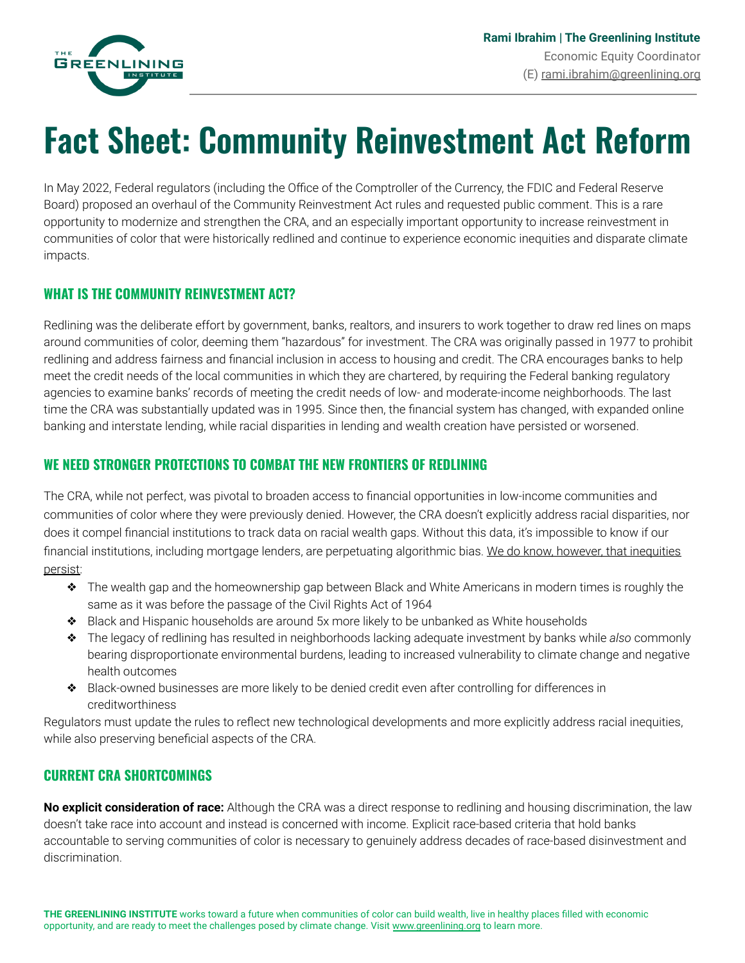

# **Fact Sheet: Community Reinvestment Act Reform**

In May 2022, Federal regulators (including the Office of the Comptroller of the Currency, the FDIC and Federal Reserve Board) proposed an overhaul of the Community Reinvestment Act rules and requested public comment. This is a rare opportunity to modernize and strengthen the CRA, and an especially important opportunity to increase reinvestment in communities of color that were historically redlined and continue to experience economic inequities and disparate climate impacts.

### **WHAT IS THE COMMUNITY REINVESTMENT ACT?**

Redlining was the deliberate effort by government, banks, realtors, and insurers to work together to draw red lines on maps around communities of color, deeming them "hazardous" for investment. The CRA was originally passed in 1977 to prohibit redlining and address fairness and financial inclusion in access to housing and credit. The CRA encourages banks to help meet the credit needs of the local communities in which they are chartered, by requiring the Federal banking regulatory agencies to examine banks' records of meeting the credit needs of low- and moderate-income neighborhoods. The last time the CRA was substantially updated was in 1995. Since then, the financial system has changed, with expanded online banking and interstate lending, while racial disparities in lending and wealth creation have persisted or worsened.

### **WE NEED STRONGER PROTECTIONS TO COMBAT THE NEW FRONTIERS OF REDLINING**

The CRA, while not perfect, was pivotal to broaden access to financial opportunities in low-income communities and communities of color where they were previously denied. However, the CRA doesn't explicitly address racial disparities, nor does it compel financial institutions to track data on racial wealth gaps. Without this data, it's impossible to know if our financial institutions, including mortgage lenders, are perpetuating algorithmic bias. We do know, however, that inequities persist:

- ❖ The wealth gap and the homeownership gap between Black and White Americans in modern times is roughly the same as it was before the passage of the Civil Rights Act of 1964
- ❖ Black and Hispanic households are around 5x more likely to be unbanked as White households
- ❖ The legacy of redlining has resulted in neighborhoods lacking adequate investment by banks while *also* commonly bearing disproportionate environmental burdens, leading to increased vulnerability to climate change and negative health outcomes
- ❖ Black-owned businesses are more likely to be denied credit even after controlling for differences in creditworthiness

Regulators must update the rules to reflect new technological developments and more explicitly address racial inequities, while also preserving beneficial aspects of the CRA.

### **CURRENT CRA SHORTCOMINGS**

**No explicit consideration of race:** Although the CRA was a direct response to redlining and housing discrimination, the law doesn't take race into account and instead is concerned with income. Explicit race-based criteria that hold banks accountable to serving communities of color is necessary to genuinely address decades of race-based disinvestment and discrimination.